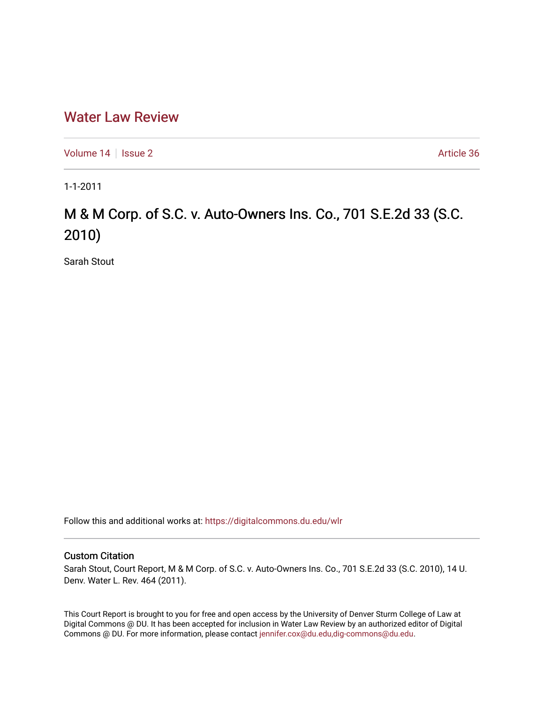# [Water Law Review](https://digitalcommons.du.edu/wlr)

[Volume 14](https://digitalcommons.du.edu/wlr/vol14) | [Issue 2](https://digitalcommons.du.edu/wlr/vol14/iss2) Article 36

1-1-2011

# M & M Corp. of S.C. v. Auto-Owners Ins. Co., 701 S.E.2d 33 (S.C. 2010)

Sarah Stout

Follow this and additional works at: [https://digitalcommons.du.edu/wlr](https://digitalcommons.du.edu/wlr?utm_source=digitalcommons.du.edu%2Fwlr%2Fvol14%2Fiss2%2F36&utm_medium=PDF&utm_campaign=PDFCoverPages) 

## Custom Citation

Sarah Stout, Court Report, M & M Corp. of S.C. v. Auto-Owners Ins. Co., 701 S.E.2d 33 (S.C. 2010), 14 U. Denv. Water L. Rev. 464 (2011).

This Court Report is brought to you for free and open access by the University of Denver Sturm College of Law at Digital Commons @ DU. It has been accepted for inclusion in Water Law Review by an authorized editor of Digital Commons @ DU. For more information, please contact [jennifer.cox@du.edu,dig-commons@du.edu.](mailto:jennifer.cox@du.edu,dig-commons@du.edu)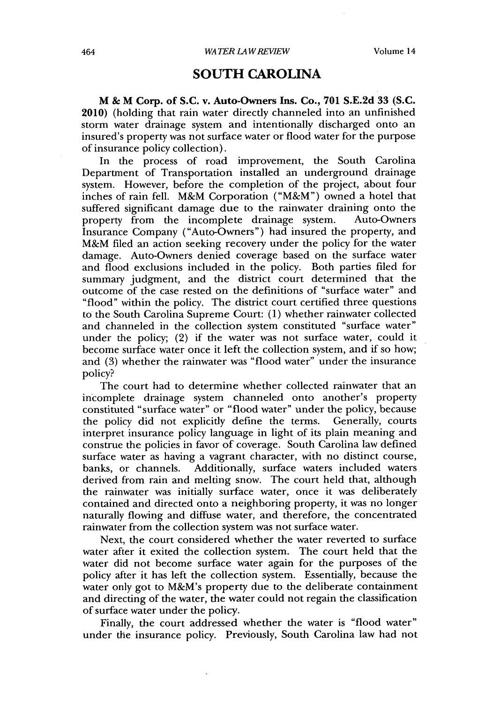# **SOUTH CAROLINA**

**M & M Corp. of S.C. v. Auto-Owners Ins. Co., 701 S.E.2d 33 (S.C.** 2010) (holding that rain water directly channeled into an unfinished storm water drainage system and intentionally discharged onto an insured's property was not surface water or flood water for the purpose of insurance policy collection).

In the process of road improvement, the South Carolina Department of Transportation installed an underground drainage system. However, before the completion of the project, about four inches of rain fell. M&M Corporation ("M&M") owned a hotel that suffered significant damage due to the rainwater draining onto the property from the incomplete drainage system. Auto-Owners property from the incomplete drainage system. Insurance Company ("Auto-Owners") had insured the property, and M&M filed an action seeking recovery under the policy for the water damage. Auto-Owners denied coverage based on the surface water and flood exclusions included in the policy. Both parties filed for summary judgment, and the district court determined that the outcome of the case rested on the definitions of "surface water" and "flood" within the policy. The district court certified three questions to the South Carolina Supreme Court: **(1)** whether rainwater collected and channeled in the collection system constituted "surface water" under the policy; (2) if the water was not surface water, could it become surface water once it left the collection system, and if so how; and **(3)** whether the rainwater was "flood water" under the insurance policy?

The court had to determine whether collected rainwater that an incomplete drainage system channeled onto another's property constituted "surface water" or "flood water" under the policy, because the policy did not explicitly define the terms. Generally, courts interpret insurance policy language in light of its plain meaning and construe the policies in favor of coverage. South Carolina law defined surface water as having a vagrant character, with no distinct course, banks, or channels. Additionally, surface waters included waters derived from rain and melting snow. The court held that, although the rainwater was initially surface water, once it was deliberately contained and directed onto a neighboring property, it was no longer naturally flowing and diffuse water, and therefore, the concentrated rainwater from the collection system was not surface water.

Next, the court considered whether the water reverted to surface water after it exited the collection system. The court held that the water did not become surface water again for the purposes of the policy after it has left the collection system. Essentially, because the water only got to M&M's property due to the deliberate containment and directing of the water, the water could not regain the classification of surface water under the policy.

Finally, the court addressed whether the water is "flood water" under the insurance policy. Previously, South Carolina law had not